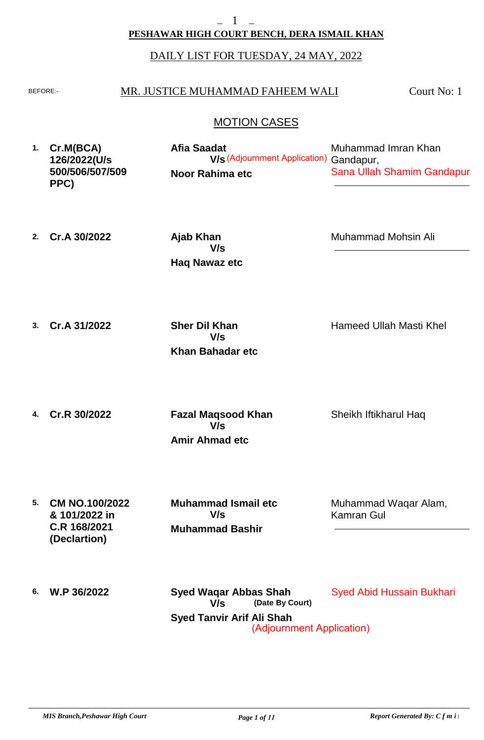# **PESHAWAR HIGH COURT BENCH, DERA ISMAIL KHAN**

## DAILY LIST FOR TUESDAY, 24 MAY, 2022

#### BEFORE: MR. JUSTICE MUHAMMAD FAHEEM WALI

Court No: 1

## MOTION CASES

| 1. | Cr.M(BCA)<br>126/2022(U/s | Afia Saadat<br><b>V/s</b> (Adjournment Application) Gandapur, | Muhammad Imran Khan        |
|----|---------------------------|---------------------------------------------------------------|----------------------------|
|    | 500/506/507/509<br>PPC)   | Noor Rahima etc                                               | Sana Ullah Shamim Gandapur |

**2. Cr.A 30/2022**

**Haq Nawaz etc Ajab Khan V/s**

Muhammad Mohsin Ali

**3. Cr.A 31/2022**

**Khan Bahadar etc Sher Dil Khan V/s**

Hameed Ullah Masti Khel

**4. Cr.R 30/2022**

**Amir Ahmad etc Fazal Maqsood Khan V/s**

Sheikh Iftikharul Haq

**5. CM NO.100/2022 & 101/2022 in C.R 168/2021 (Declartion)**

**Muhammad Bashir Muhammad Ismail etc V/s**

Muhammad Waqar Alam, Kamran Gul

**6. W.P 36/2022**

**Syed Tanvir Arif Ali Shah (Date By Court) Syed Waqar Abbas Shah** Syed Abid Hussain Bukhari **V/s** (Adjournment Application)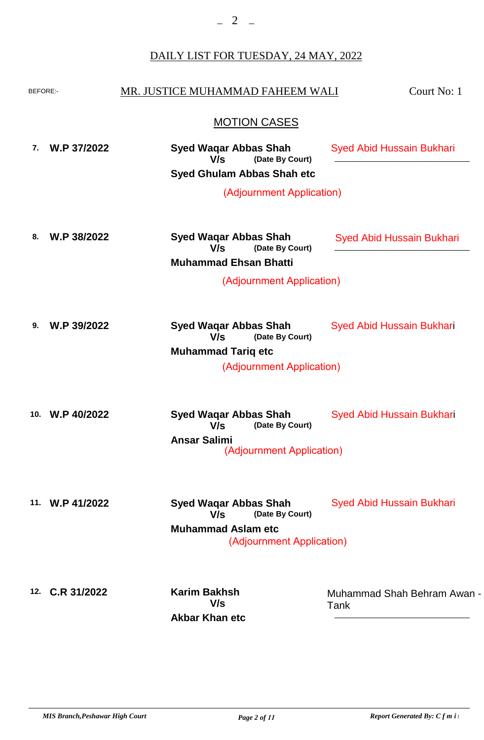$-2$   $-$ 

# DAILY LIST FOR TUESDAY, 24 MAY, 2022

| BEFORE:- |                 | MR. JUSTICE MUHAMMAD FAHEEM WALI                       | Court No: 1                         |
|----------|-----------------|--------------------------------------------------------|-------------------------------------|
|          |                 | <b>MOTION CASES</b>                                    |                                     |
| 7.       | W.P 37/2022     | <b>Syed Waqar Abbas Shah</b><br>(Date By Court)<br>V/s | <b>Syed Abid Hussain Bukhari</b>    |
|          |                 | <b>Syed Ghulam Abbas Shah etc</b>                      |                                     |
|          |                 | (Adjournment Application)                              |                                     |
| 8.       | W.P 38/2022     | <b>Syed Waqar Abbas Shah</b><br>(Date By Court)<br>V/s | <b>Syed Abid Hussain Bukhari</b>    |
|          |                 | <b>Muhammad Ehsan Bhatti</b>                           |                                     |
|          |                 | (Adjournment Application)                              |                                     |
| 9.       | W.P 39/2022     | <b>Syed Wagar Abbas Shah</b><br>V/s<br>(Date By Court) | <b>Syed Abid Hussain Bukhari</b>    |
|          |                 | <b>Muhammad Tariq etc</b><br>(Adjournment Application) |                                     |
| 10.      | W.P 40/2022     | <b>Syed Wagar Abbas Shah</b><br>V/s<br>(Date By Court) | <b>Syed Abid Hussain Bukhari</b>    |
|          |                 | <b>Ansar Salimi</b><br>(Adjournment Application)       |                                     |
|          | 11. W.P 41/2022 | <b>Syed Waqar Abbas Shah</b><br>V/s<br>(Date By Court) | <b>Syed Abid Hussain Bukhari</b>    |
|          |                 | <b>Muhammad Aslam etc</b><br>(Adjournment Application) |                                     |
|          | 12. C.R 31/2022 | <b>Karim Bakhsh</b><br>V/s<br><b>Akbar Khan etc</b>    | Muhammad Shah Behram Awan -<br>Tank |
|          |                 |                                                        |                                     |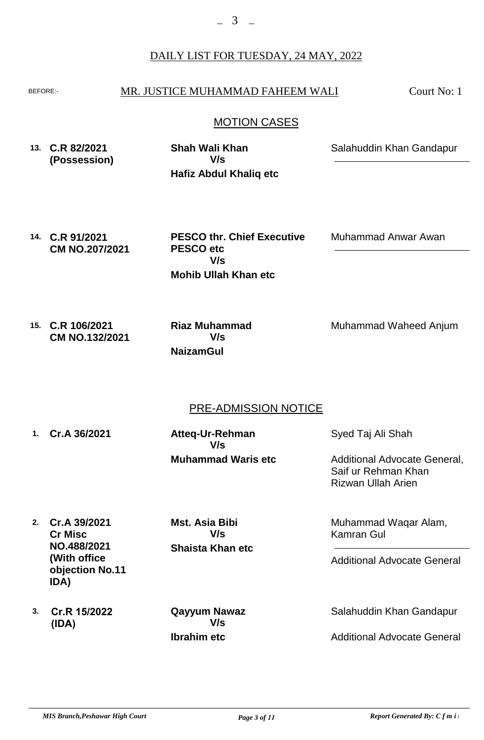#### BEFORE: MR. JUSTICE MUHAMMAD FAHEEM WALI

Court No: 1

## MOTION CASES

**13. C.R 82/2021 (Possession) Hafiz Abdul Khaliq etc Shah Wali Khan** Salahuddin Khan Gandapur **V/s**

**14. C.R 91/2021 CM NO.207/2021**

**Mohib Ullah Khan etc PESCO thr. Chief Executive PESCO etc V/s**

Muhammad Anwar Awan

**15. C.R 106/2021 CM NO.132/2021**

**NaizamGul Riaz Muhammad V/s**

Muhammad Waheed Anjum

## PRE-ADMISSION NOTICE

**1. Cr.A 36/2021 Muhammad Waris etc Atteq-Ur-Rehman V/s**

Syed Taj Ali Shah

Additional Advocate General, Saif ur Rehman Khan Rizwan Ullah Arien

**2. Cr.A 39/2021 Cr Misc NO.488/2021 (With office objection No.11 IDA)**

**Shaista Khan etc Mst. Asia Bibi V/s**

**3. Cr.R 15/2022 (IDA)**

**Ibrahim etc Qayyum Nawaz V/s**

Muhammad Waqar Alam, Kamran Gul

Additional Advocate General

Salahuddin Khan Gandapur

Additional Advocate General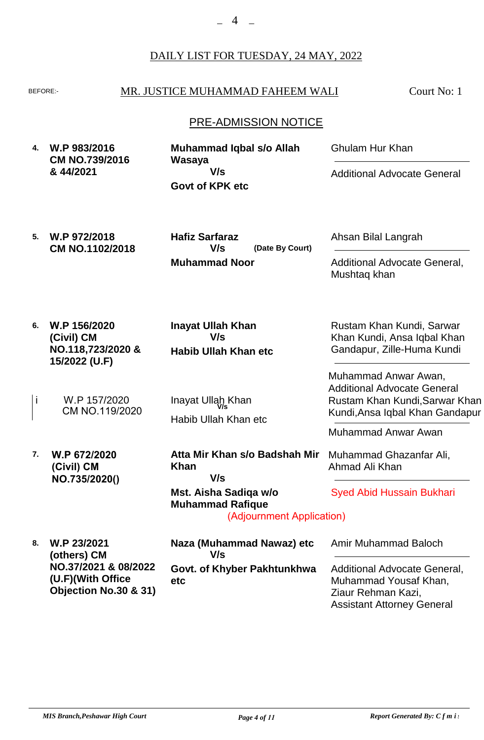**6. W.P 156/2020**

**(Civil) CM**

**15/2022 (U.F)**

**W.P 672/2020 (Civil) CM NO.735/2020()**

**NO.118,723/2020 &**

W.P 157/2020

CM NO.119/2020

i W.P 157/2020 Inayat Ullah Khan<br>CM NO 119/2020

**7.**

#### BEFORE: MR. JUSTICE MUHAMMAD FAHEEM WALI

Court No: 1

#### PRE-ADMISSION NOTICE

**4. W.P 983/2016 CM NO.739/2016 & 44/2021 Govt of KPK etc Muhammad Iqbal s/o Allah Wasaya** Ghulam Hur Khan Additional Advocate General **V/s**

**Habib Ullah Khan etc**

**Inayat Ullah Khan**

**V/s**

Habib Ullah Khan etc

**Khan**

**Mst. Aisha Sadiqa w/o Muhammad Rafique**

**V/s**

**5. W.P 972/2018 CM NO.1102/2018 Muhammad Noor (Date By Court) Hafiz Sarfaraz V/s**

Ahsan Bilal Langrah

Additional Advocate General, Mushtaq khan

Rustam Khan Kundi, Sarwar Khan Kundi, Ansa Iqbal Khan Gandapur, Zille-Huma Kundi

Muhammad Anwar Awan, Additional Advocate General Rustam Khan Kundi,Sarwar Khan Kundi,Ansa Iqbal Khan Gandapur

Muhammad Anwar Awan

Muhammad Ghazanfar Ali, Ahmad Ali Khan

Syed Abid Hussain Bukhari

**8. W.P 23/2021 (others) CM NO.37/2021 & 08/2022 (U.F)(With Office Objection No.30 & 31) Govt. of Khyber Pakhtunkhwa etc Naza (Muhammad Nawaz) etc** Amir Muhammad Baloch Additional Advocate General, Muhammad Yousaf Khan, Ziaur Rehman Kazi, Assistant Attorney General **V/s**

(Adjournment Application)

**Atta Mir Khan s/o Badshah Mir**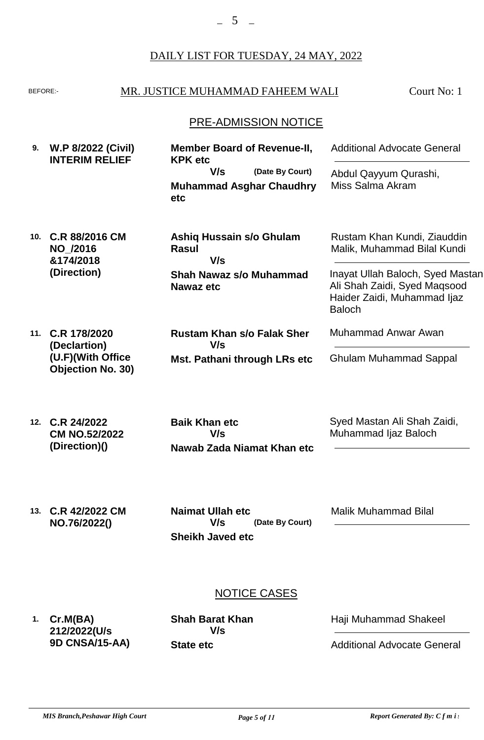#### BEFORE: MR. JUSTICE MUHAMMAD FAHEEM WALI

Court No: 1

#### PRE-ADMISSION NOTICE

| 9. W.P 8/2022 (Civil)<br><b>INTERIM RELIEF</b> | <b>Member Board of Revenue-II,</b><br><b>KPK etc</b> |                                                    | <b>Additional Advocate General</b>        |
|------------------------------------------------|------------------------------------------------------|----------------------------------------------------|-------------------------------------------|
|                                                | V/s                                                  | (Date By Court)<br><b>Muhammad Asghar Chaudhry</b> | Abdul Qayyum Qurashi,<br>Miss Salma Akram |
|                                                | etc.                                                 |                                                    |                                           |

| 10. C.R 88/2016 CM | Ashiq Hussain s/o Ghulam       | Rustam Khan Kundi, Ziauddin      |
|--------------------|--------------------------------|----------------------------------|
| <b>NO /2016</b>    | Rasul                          | Malik, Muhammad Bilal Kundi      |
| &174/2018          | V/s                            |                                  |
| (Direction)        | <b>Shah Nawaz s/o Muhammad</b> | Inayat Ullah Baloch, Syed Mastan |
|                    | Nawaz etc                      | Ali Shah Zaidi, Syed Magsood     |
|                    |                                | Haider Zaidi, Muhammad liaz      |

**11. C.R 178/2020 (Declartion) (U.F)(With Office Objection No. 30)**

**Mst. Pathani through LRs etc Rustam Khan s/o Falak Sher V/s**

Haider Zaidi, Muhammad Ijaz Baloch

Muhammad Anwar Awan

Ghulam Muhammad Sappal

**12. C.R 24/2022 CM NO.52/2022 (Direction)()**

**Nawab Zada Niamat Khan etc Baik Khan etc V/s**

Syed Mastan Ali Shah Zaidi, Muhammad Ijaz Baloch

**13. C.R 42/2022 CM NO.76/2022() Sheikh Javed etc Naimat Ullah etc V/s**

**(Date By Court)**

Malik Muhammad Bilal

# NOTICE CASES

**1. Cr.M(BA) 212/2022(U/s 9D CNSA/15-AA)**

**State etc Shah Barat Khan V/s**

Haji Muhammad Shakeel

Additional Advocate General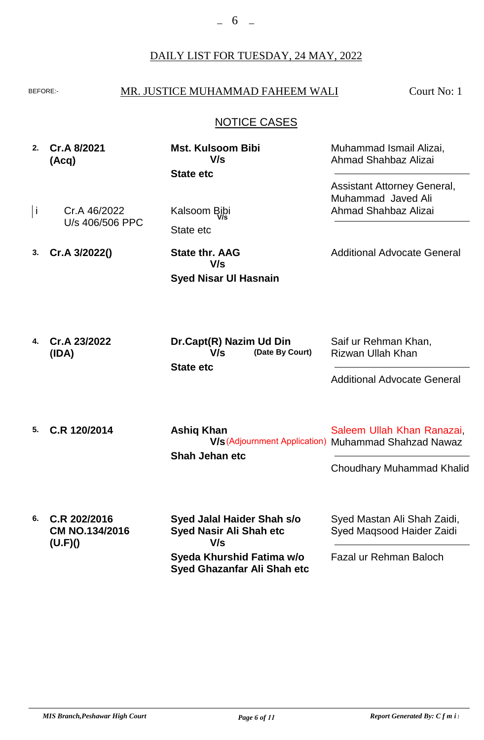## BEFORE: MR. JUSTICE MUHAMMAD FAHEEM WALI

Court No: 1

# NOTICE CASES

**2. Cr.A 8/2021 (Acq)**

**State etc Mst. Kulsoom Bibi V/s**

Cr.A 46/2022 U/s 406/506 PPC<br>State etc i Kalsoom Bibi **V/s**

**3. Cr.A 3/2022()** **Syed Nisar Ul Hasnain State thr. AAG V/s**

Assistant Attorney General, Muhammad Javed Ali

Muhammad Ismail Alizai, Ahmad Shahbaz Alizai

Ahmad Shahbaz Alizai

Additional Advocate General

**4. Cr.A 23/2022 (IDA) State etc (Date By Court) Dr.Capt(R) Nazim Ud Din V/s** Saif ur Rehman Khan, Rizwan Ullah Khan

Additional Advocate General

- **5. C.R 120/2014 Shah Jehan etc Ashiq Khan** Saleem Ullah Khan Ranazai, **V/s** (Adjournment Application) Muhammad Shahzad Nawaz Choudhary Muhammad Khalid
- **6. C.R 202/2016 CM NO.134/2016 (U.F)() Syeda Khurshid Fatima w/o Syed Ghazanfar Ali Shah etc Syed Jalal Haider Shah s/o Syed Nasir Ali Shah etc** Syed Mastan Ali Shah Zaidi, Syed Maqsood Haider Zaidi Fazal ur Rehman Baloch **V/s**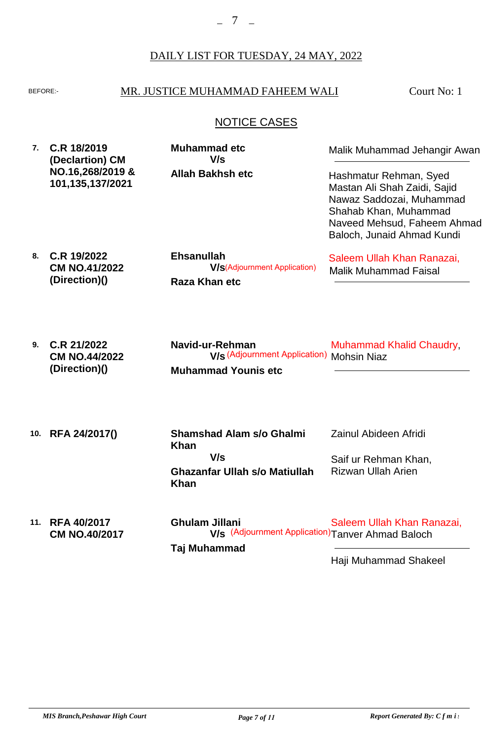## BEFORE: MR. JUSTICE MUHAMMAD FAHEEM WALI

Court No: 1

# NOTICE CASES

**7. C.R 18/2019 (Declartion) CM NO.16,268/2019 & 101,135,137/2021**

**Allah Bakhsh etc Muhammad etc V/s**

Malik Muhammad Jehangir Awan

Hashmatur Rehman, Syed Mastan Ali Shah Zaidi, Sajid Nawaz Saddozai, Muhammad Shahab Khan, Muhammad Naveed Mehsud, Faheem Ahmad Baloch, Junaid Ahmad Kundi

**8. C.R 19/2022 CM NO.41/2022 (Direction)() Raza Khan etc Ehsanullah** Saleem Ullah Khan Ranazai, Malik Muhammad Faisal **V/s** (Adjournment Application)

| 9. $C.R$ 21/2022     | Navid-ur-Rehman                                  | <b>Muhammad Khalid Chaudry</b> |
|----------------------|--------------------------------------------------|--------------------------------|
| <b>CM NO.44/2022</b> | <b>V/s</b> (Adjournment Application) Mohsin Niaz |                                |
| (Direction)()        | <b>Muhammad Younis etc</b>                       |                                |

**10. RFA 24/2017() 11. RFA 40/2017 CM NO.40/2017 Ghazanfar Ullah s/o Matiullah Khan Shamshad Alam s/o Ghalmi Khan Ghulam Jillani** Zainul Abideen Afridi Saif ur Rehman Khan, Rizwan Ullah Arien Saleem Ullah Khan Ranazai, **V/s** (Adjournment Application)Tanver Ahmad Baloch **V/s**

**Taj Muhammad**

Haji Muhammad Shakeel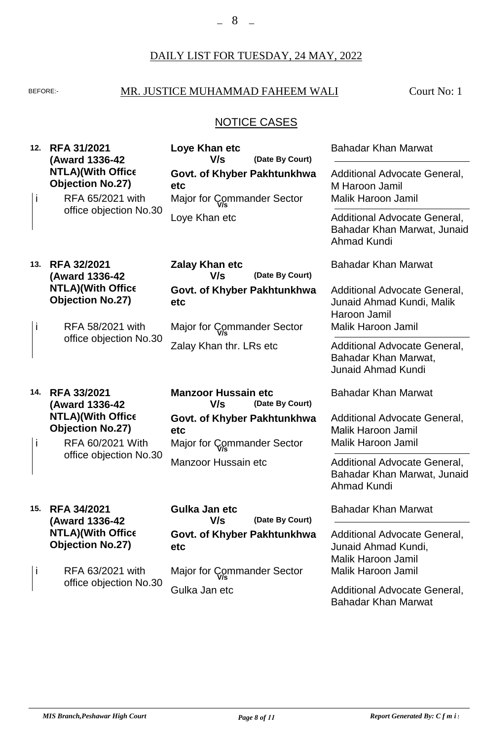# BEFORE: MR. JUSTICE MUHAMMAD FAHEEM WALI

Court No: 1

# NOTICE CASES

| 12. | <b>RFA 31/2021</b><br>(Award 1336-42                                    | Loye Khan etc<br>V/s<br>(Date By Court)                          | <b>Bahadar Khan Marwat</b>                                                             |
|-----|-------------------------------------------------------------------------|------------------------------------------------------------------|----------------------------------------------------------------------------------------|
| i   | <b>NTLA)(With Office</b><br><b>Objection No.27)</b><br>RFA 65/2021 with | Govt. of Khyber Pakhtunkhwa<br>etc<br>Major for Commander Sector | Additional Advocate General,<br>M Haroon Jamil<br><b>Malik Haroon Jamil</b>            |
|     | office objection No.30                                                  | Loye Khan etc                                                    | Additional Advocate General,<br>Bahadar Khan Marwat, Junaid<br><b>Ahmad Kundi</b>      |
| 13. | <b>RFA 32/2021</b><br>(Award 1336-42                                    | <b>Zalay Khan etc</b><br>(Date By Court)<br>V/s                  | <b>Bahadar Khan Marwat</b>                                                             |
|     | <b>NTLA)(With Office</b><br><b>Objection No.27)</b>                     | Govt. of Khyber Pakhtunkhwa<br>etc                               | Additional Advocate General,<br>Junaid Ahmad Kundi, Malik<br>Haroon Jamil              |
| İ   | RFA 58/2021 with                                                        | Major for Commander Sector                                       | <b>Malik Haroon Jamil</b>                                                              |
|     | office objection No.30                                                  | Zalay Khan thr. LRs etc                                          | Additional Advocate General,<br>Bahadar Khan Marwat,<br><b>Junaid Ahmad Kundi</b>      |
| 14. | <b>RFA 33/2021</b><br>(Award 1336-42                                    | <b>Manzoor Hussain etc</b><br>V/s<br>(Date By Court)             | <b>Bahadar Khan Marwat</b>                                                             |
| i   | <b>NTLA)(With Office</b><br><b>Objection No.27)</b><br>RFA 60/2021 With | Govt. of Khyber Pakhtunkhwa<br>etc<br>Major for Commander Sector | Additional Advocate General,<br><b>Malik Haroon Jamil</b><br><b>Malik Haroon Jamil</b> |
|     | office objection No.30                                                  | <b>Manzoor Hussain etc</b>                                       | Additional Advocate General,<br>Bahadar Khan Marwat, Junaid<br><b>Ahmad Kundi</b>      |
| 15. | <b>RFA 34/2021</b><br>(Award 1336-42                                    | Gulka Jan etc<br>V/s<br>(Date By Court)                          | <b>Bahadar Khan Marwat</b>                                                             |
|     | <b>NTLA)(With Office</b><br><b>Objection No.27)</b>                     | Govt. of Khyber Pakhtunkhwa<br>etc                               | Additional Advocate General,<br>Junaid Ahmad Kundi,<br><b>Malik Haroon Jamil</b>       |
| j   | RFA 63/2021 with                                                        | Major for Commander Sector                                       | <b>Malik Haroon Jamil</b>                                                              |
|     | office objection No.30                                                  | Gulka Jan etc                                                    | Additional Advocate General,<br><b>Bahadar Khan Marwat</b>                             |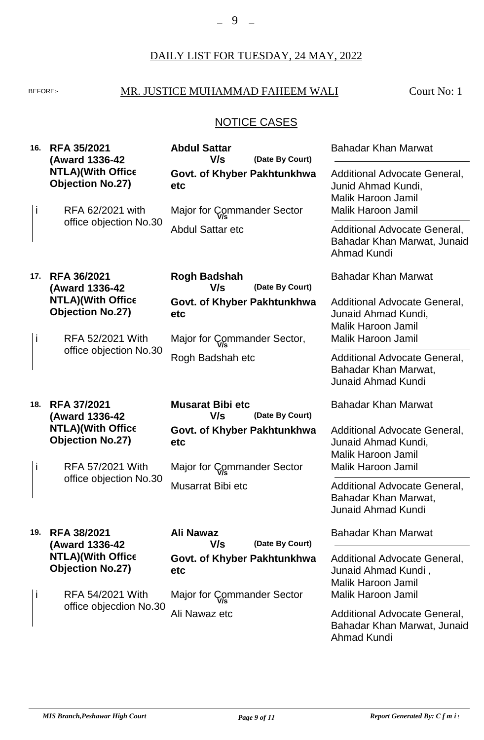# BEFORE: MR. JUSTICE MUHAMMAD FAHEEM WALI

Court No: 1

# NOTICE CASES

| 16. | <b>RFA 35/2021</b><br>(Award 1336-42                | <b>Abdul Sattar</b><br>V/s<br>(Date By Court)     | <b>Bahadar Khan Marwat</b>                                                               |
|-----|-----------------------------------------------------|---------------------------------------------------|------------------------------------------------------------------------------------------|
|     | <b>NTLA)(With Office</b><br><b>Objection No.27)</b> | Govt. of Khyber Pakhtunkhwa<br>etc                | Additional Advocate General,<br>Junid Ahmad Kundi,<br><b>Malik Haroon Jamil</b>          |
| j   | RFA 62/2021 with                                    | Major for Commander Sector                        | Malik Haroon Jamil                                                                       |
|     | office objection No.30                              | <b>Abdul Sattar etc</b>                           | <b>Additional Advocate General,</b><br>Bahadar Khan Marwat, Junaid<br>Ahmad Kundi        |
| 17. | <b>RFA 36/2021</b><br>(Award 1336-42                | <b>Rogh Badshah</b><br>V/s<br>(Date By Court)     | <b>Bahadar Khan Marwat</b>                                                               |
|     | <b>NTLA)(With Office</b><br><b>Objection No.27)</b> | Govt. of Khyber Pakhtunkhwa<br>etc                | Additional Advocate General,<br>Junaid Ahmad Kundi,<br><b>Malik Haroon Jamil</b>         |
| i   | RFA 52/2021 With<br>office objection No.30          | Major for Commander Sector,                       | Malik Haroon Jamil                                                                       |
|     |                                                     | Rogh Badshah etc                                  | Additional Advocate General,<br>Bahadar Khan Marwat,<br><b>Junaid Ahmad Kundi</b>        |
| 18. | <b>RFA 37/2021</b><br>(Award 1336-42                | <b>Musarat Bibi etc</b><br>V/s<br>(Date By Court) | <b>Bahadar Khan Marwat</b>                                                               |
|     | <b>NTLA)(With Office</b><br><b>Objection No.27)</b> | Govt. of Khyber Pakhtunkhwa<br>etc                | Additional Advocate General,<br>Junaid Ahmad Kundi,<br><b>Malik Haroon Jamil</b>         |
| İ   | RFA 57/2021 With                                    | Major for Commander Sector                        | Malik Haroon Jamil                                                                       |
|     | office objection No.30                              | Musarrat Bibi etc                                 | <b>Additional Advocate General,</b><br>Bahadar Khan Marwat,<br><b>Junaid Ahmad Kundi</b> |
| 19. | <b>RFA 38/2021</b><br>(Award 1336-42                | Ali Nawaz<br>V/s<br>(Date By Court)               | <b>Bahadar Khan Marwat</b>                                                               |
|     | <b>NTLA)(With Office</b><br><b>Objection No.27)</b> | Govt. of Khyber Pakhtunkhwa<br>etc                | Additional Advocate General,<br>Junaid Ahmad Kundi,<br><b>Malik Haroon Jamil</b>         |
| Ť   | RFA 54/2021 With                                    | Major for Commander Sector                        | <b>Malik Haroon Jamil</b>                                                                |
|     | office objecdion No.30                              | Ali Nawaz etc                                     | Additional Advocate General,<br>Bahadar Khan Marwat, Junaid<br><b>Ahmad Kundi</b>        |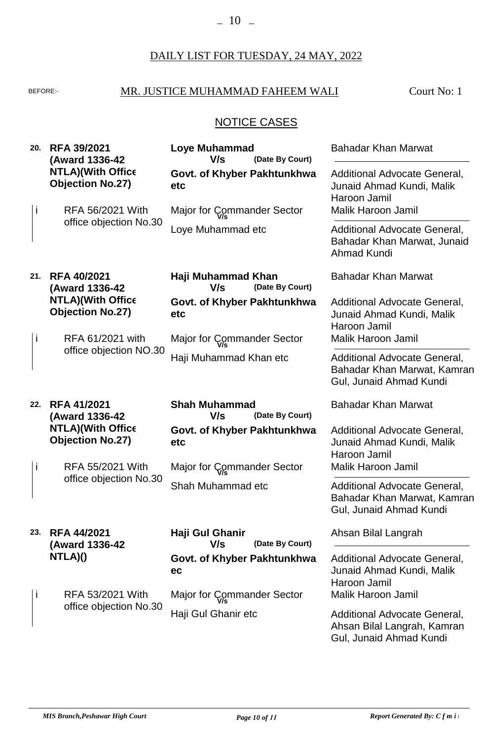# BEFORE: MR. JUSTICE MUHAMMAD FAHEEM WALI

Court No: 1

# NOTICE CASES

| 20.          | <b>RFA 39/2021</b><br>(Award 1336-42                | <b>Loye Muhammad</b><br>V/s<br>(Date By Court) | <b>Bahadar Khan Marwat</b>                                                             |
|--------------|-----------------------------------------------------|------------------------------------------------|----------------------------------------------------------------------------------------|
|              | <b>NTLA)(With Office</b><br><b>Objection No.27)</b> | Govt. of Khyber Pakhtunkhwa<br>etc             | Additional Advocate General,<br>Junaid Ahmad Kundi, Malik<br>Haroon Jamil              |
| $\mathbf I$  | RFA 56/2021 With                                    | Major for Commander Sector                     | <b>Malik Haroon Jamil</b>                                                              |
|              | office objection No.30                              | Loye Muhammad etc                              | Additional Advocate General,<br>Bahadar Khan Marwat, Junaid<br>Ahmad Kundi             |
| 21.          | <b>RFA 40/2021</b><br>(Award 1336-42                | Haji Muhammad Khan<br>V/s<br>(Date By Court)   | <b>Bahadar Khan Marwat</b>                                                             |
|              | <b>NTLA)(With Office</b><br><b>Objection No.27)</b> | Govt. of Khyber Pakhtunkhwa<br>etc             | Additional Advocate General,<br>Junaid Ahmad Kundi, Malik<br>Haroon Jamil              |
| İ            | RFA 61/2021 with                                    | Major for Commander Sector                     | <b>Malik Haroon Jamil</b>                                                              |
|              | office objection NO.30                              | Haji Muhammad Khan etc                         | Additional Advocate General,<br>Bahadar Khan Marwat, Kamran<br>Gul, Junaid Ahmad Kundi |
| 22.          | <b>RFA 41/2021</b><br>(Award 1336-42                | <b>Shah Muhammad</b><br>V/s<br>(Date By Court) | <b>Bahadar Khan Marwat</b>                                                             |
|              | <b>NTLA)(With Office</b><br><b>Objection No.27)</b> | Govt. of Khyber Pakhtunkhwa<br>etc             | Additional Advocate General,<br>Junaid Ahmad Kundi, Malik<br>Haroon Jamil              |
| $\mathbf{I}$ | <b>RFA 55/2021 With</b>                             | Major for Commander Sector                     | Malik Haroon Jamil                                                                     |
|              | office objection No.30                              | Shah Muhammad etc                              | Additional Advocate General,<br>Bahadar Khan Marwat, Kamran<br>Gul, Junaid Ahmad Kundi |
| 23.          | <b>RFA 44/2021</b><br>(Award 1336-42                | Haji Gul Ghanir<br>V/s<br>(Date By Court)      | Ahsan Bilal Langrah                                                                    |
|              | NTLA)()                                             | Govt. of Khyber Pakhtunkhwa<br>ec              | Additional Advocate General,<br>Junaid Ahmad Kundi, Malik<br>Haroon Jamil              |
| ı            | RFA 53/2021 With<br>office objection No.30          | Major for Commander Sector                     | Malik Haroon Jamil                                                                     |
|              |                                                     | Haji Gul Ghanir etc                            | Additional Advocate General,<br>Ahsan Bilal Langrah, Kamran                            |

Gul, Junaid Ahmad Kundi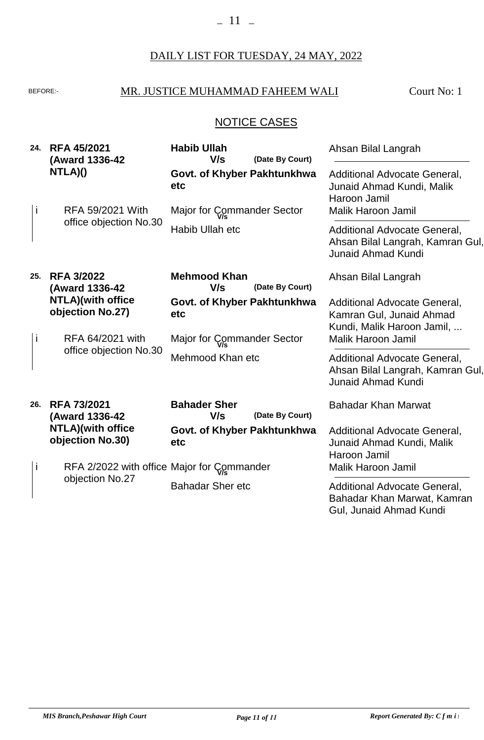# BEFORE: MR. JUSTICE MUHAMMAD FAHEEM WALI

Court No: 1

# NOTICE CASES

| 24. | <b>RFA 45/2021</b><br>(Award 1336-42          | <b>Habib Ullah</b><br>V/s<br>(Date By Court)  | Ahsan Bilal Langrah                                                                           |
|-----|-----------------------------------------------|-----------------------------------------------|-----------------------------------------------------------------------------------------------|
|     | NTLA)()                                       | Govt. of Khyber Pakhtunkhwa<br>etc            | Additional Advocate General,<br>Junaid Ahmad Kundi, Malik<br>Haroon Jamil                     |
| i.  | RFA 59/2021 With                              | Major for Commander Sector                    | <b>Malik Haroon Jamil</b>                                                                     |
|     | office objection No.30                        | Habib Ullah etc                               | Additional Advocate General,<br>Ahsan Bilal Langrah, Kamran Gul,<br><b>Junaid Ahmad Kundi</b> |
| 25. | <b>RFA 3/2022</b><br>(Award 1336-42           | <b>Mehmood Khan</b><br>V/s<br>(Date By Court) | Ahsan Bilal Langrah                                                                           |
|     | <b>NTLA)</b> (with office<br>objection No.27) | Govt. of Khyber Pakhtunkhwa<br>etc            | Additional Advocate General,<br>Kamran Gul, Junaid Ahmad<br>Kundi, Malik Haroon Jamil,        |
| j.  | RFA 64/2021 with                              | Major for Commander Sector                    | <b>Malik Haroon Jamil</b>                                                                     |
|     | office objection No.30                        | Mehmood Khan etc                              | Additional Advocate General,<br>Ahsan Bilal Langrah, Kamran Gul,<br><b>Junaid Ahmad Kundi</b> |
| 26. | <b>RFA 73/2021</b><br>(Award 1336-42          | <b>Bahader Sher</b><br>(Date By Court)<br>V/s | <b>Bahadar Khan Marwat</b>                                                                    |
|     | <b>NTLA)</b> (with office<br>objection No.30) | Govt. of Khyber Pakhtunkhwa<br>etc            | Additional Advocate General,<br>Junaid Ahmad Kundi, Malik<br>Haroon Jamil                     |
| i.  |                                               | RFA 2/2022 with office Major for Commander    | <b>Malik Haroon Jamil</b>                                                                     |
|     | objection No.27                               | <b>Bahadar Sher etc</b>                       | Additional Advocate General,<br>Bahadar Khan Marwat, Kamran<br>Gul, Junaid Ahmad Kundi        |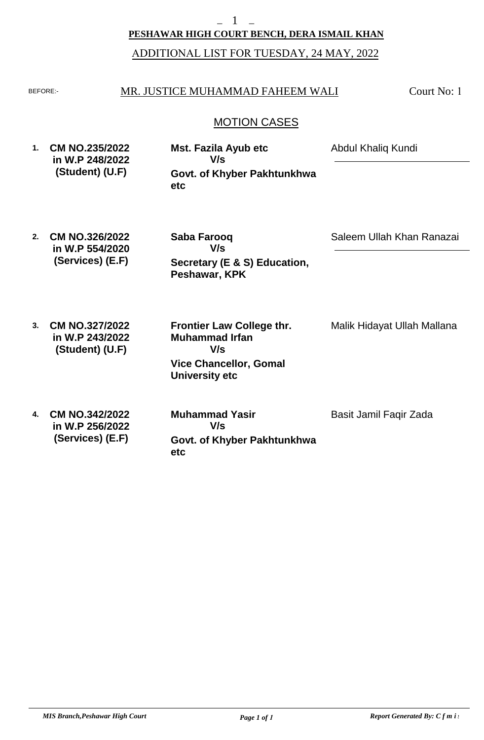#### **PESHAWAR HIGH COURT BENCH, DERA ISMAIL KHAN**

## ADDITIONAL LIST FOR TUESDAY, 24 MAY, 2022

#### BEFORE: MR. JUSTICE MUHAMMAD FAHEEM WALI

Court No: 1

## MOTION CASES

| 1. | <b>CM NO.235/2022</b> | Mst. Fazila Ayub etc        | Abdul Khaliq Kundi |
|----|-----------------------|-----------------------------|--------------------|
|    | in W.P 248/2022       | V/s                         |                    |
|    | (Student) (U.F)       | Govt. of Khyber Pakhtunkhwa |                    |
|    |                       | etc                         |                    |

- **2. CM NO.326/2022 in W.P 554/2020 (Services) (E.F) Secretary (E & S) Education, Peshawar, KPK Saba Farooq** Saleem Ullah Khan Ranazai **V/s**
- **3. 4. CM NO.327/2022 in W.P 243/2022 (Student) (U.F) CM NO.342/2022 in W.P 256/2022 (Services) (E.F) Vice Chancellor, Gomal University etc Govt. of Khyber Pakhtunkhwa Frontier Law College thr. Muhammad Irfan Muhammad Yasir** Malik Hidayat Ullah Mallana Basit Jamil Faqir Zada **V/s V/s**

**etc**